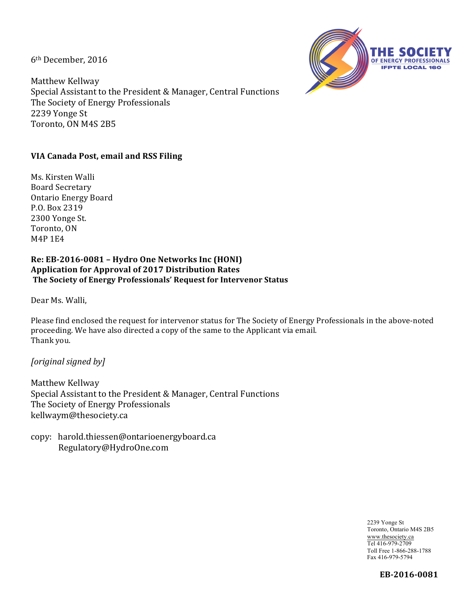6<sup>th</sup> December, 2016

Matthew Kellway Special Assistant to the President & Manager, Central Functions The Society of Energy Professionals 2239 Yonge St Toronto, ON M4S 2B5



# **VIA Canada Post, email and RSS Filing**

Ms. Kirsten Walli Board Secretary Ontario Energy Board P.O. Box 2319 2300 Yonge St. Toronto, ON **M4P1E4** 

### Re: EB-2016-0081 - Hydro One Networks Inc (HONI) Application for Approval of 2017 Distribution Rates The Society of Energy Professionals' Request for Intervenor Status

Dear Ms. Walli,

Please find enclosed the request for intervenor status for The Society of Energy Professionals in the above-noted proceeding. We have also directed a copy of the same to the Applicant via email. Thank you.

*[original signed by]*

Matthew Kellway Special Assistant to the President & Manager, Central Functions The Society of Energy Professionals kellwaym@thesociety.ca

copy: harold.thiessen@ontarioenergyboard.ca Regulatory@HydroOne.com

> 2239 Yonge St Toronto, Ontario M4S 2B5 www.thesociety.ca Tel 416-979-2709 Toll Free 1-866-288-1788 Fax 416-979-5794

> > **EB-2016-0081**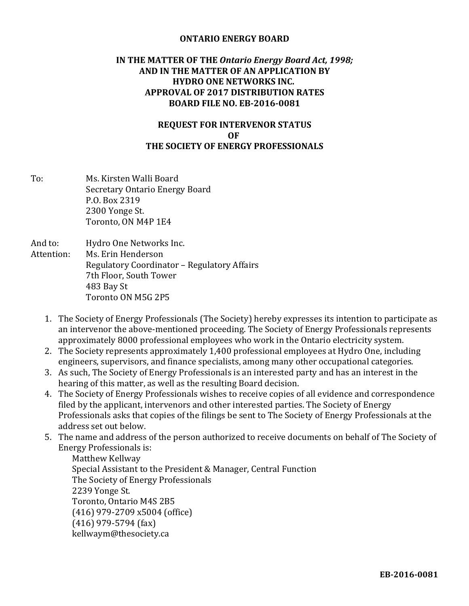### **ONTARIO ENERGY BOARD**

## **IN THE MATTER OF THE Ontario Energy Board Act, 1998; AND IN THE MATTER OF AN APPLICATION BY HYDRO ONE NETWORKS INC. APPROVAL OF 2017 DISTRIBUTION RATES BOARD FILE NO. EB-2016-0081**

## **REQUEST FOR INTERVENOR STATUS OF THE SOCIETY OF ENERGY PROFESSIONALS**

- To: Ms. Kirsten Walli Board Secretary Ontario Energy Board P.O. Box 2319 2300 Yonge St. Toronto, ON M4P 1E4
- And to: Hydro One Networks Inc. Attention: Ms. Erin Henderson Regulatory Coordinator - Regulatory Affairs 7th Floor, South Tower 483 Bay St Toronto ON M5G 2P5
	- 1. The Society of Energy Professionals (The Society) hereby expresses its intention to participate as an intervenor the above-mentioned proceeding. The Society of Energy Professionals represents approximately 8000 professional employees who work in the Ontario electricity system.
	- 2. The Society represents approximately 1,400 professional employees at Hydro One, including engineers, supervisors, and finance specialists, among many other occupational categories.
	- 3. As such, The Society of Energy Professionals is an interested party and has an interest in the hearing of this matter, as well as the resulting Board decision.
	- 4. The Society of Energy Professionals wishes to receive copies of all evidence and correspondence filed by the applicant, intervenors and other interested parties. The Society of Energy Professionals asks that copies of the filings be sent to The Society of Energy Professionals at the address set out below.
	- 5. The name and address of the person authorized to receive documents on behalf of The Society of Energy Professionals is:

Matthew Kellway Special Assistant to the President & Manager, Central Function The Society of Energy Professionals 2239 Yonge St. Toronto, Ontario M4S 2B5 (416) 979-2709 x5004 (office)  $(416)$  979-5794  $(fax)$ kellwaym@thesociety.ca